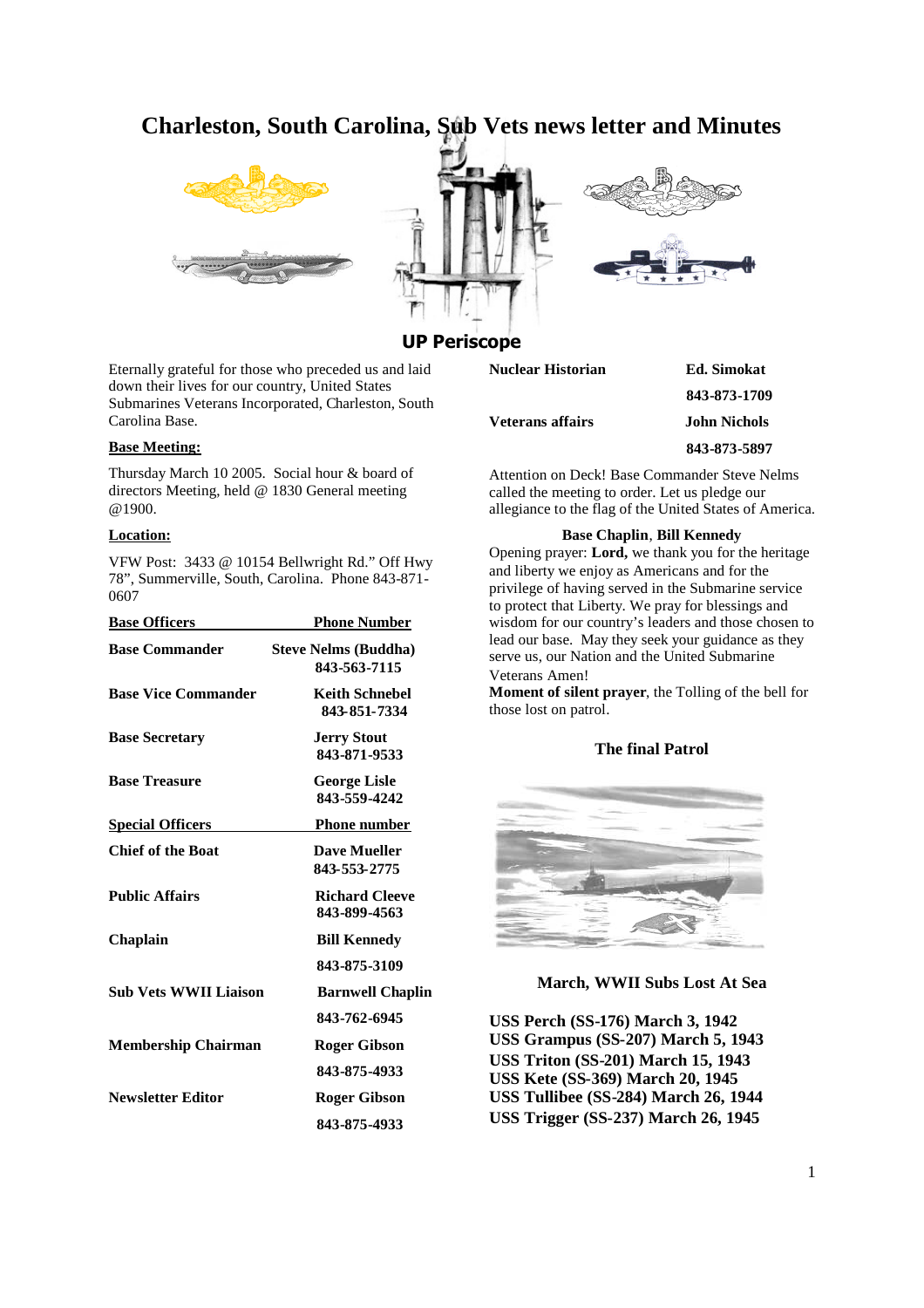# **Charleston, South Carolina, Sub Vets news letter and Minutes**







# **UP Periscope**

Eternally grateful for those who preceded us and laid down their lives for our country, United States Submarines Veterans Incorporated, Charleston, South Carolina Base.

#### **Base Meeting:**

Thursday March 10 2005. Social hour & board of directors Meeting, held @ 1830 General meeting @1900.

#### **Location:**

VFW Post: 3433 @ 10154 Bellwright Rd." Off Hwy 78", Summerville, South, Carolina. Phone 843-871- 0607

| <b>Base Officers</b>         | <b>Phone Number</b>         |
|------------------------------|-----------------------------|
| <b>Base Commander</b>        | <b>Steve Nelms (Buddha)</b> |
|                              | 843-563-7115                |
| <b>Base Vice Commander</b>   | <b>Keith Schnebel</b>       |
|                              | 843-851-7334                |
| <b>Base Secretary</b>        | <b>Jerry Stout</b>          |
|                              | 843-871-9533                |
| <b>Base Treasure</b>         | <b>George Lisle</b>         |
|                              | 843-559-4242                |
| <b>Special Officers</b>      | <b>Phone number</b>         |
| <b>Chief of the Boat</b>     | <b>Dave Mueller</b>         |
|                              | 843-553-2775                |
| <b>Public Affairs</b>        | <b>Richard Cleeve</b>       |
|                              | 843-899-4563                |
| Chaplain                     | <b>Bill Kennedy</b>         |
|                              | 843-875-3109                |
| <b>Sub Vets WWII Liaison</b> | <b>Barnwell Chaplin</b>     |
|                              | 843-762-6945                |
| <b>Membership Chairman</b>   | <b>Roger Gibson</b>         |
|                              | 843-875-4933                |
| <b>Newsletter Editor</b>     | <b>Roger Gibson</b>         |
|                              | 843-875-4933                |

| $\sim$ $\sim$                               |              |
|---------------------------------------------|--------------|
| Nuclear Historian                           | Ed. Simokat  |
|                                             | 843-873-1709 |
| <b>Veterans affairs</b>                     | John Nichols |
|                                             | 843-873-5897 |
| Attention on Deckl Rase Commander Steve Nel |              |

Attention on Deck! Base Commander Steve Nelms called the meeting to order. Let us pledge our allegiance to the flag of the United States of America.

#### **Base Chaplin**, **Bill Kennedy**

Opening prayer: **Lord,** we thank you for the heritage and liberty we enjoy as Americans and for the privilege of having served in the Submarine service to protect that Liberty. We pray for blessings and wisdom for our country's leaders and those chosen to lead our base. May they seek your guidance as they serve us, our Nation and the United Submarine Veterans Amen!

**Moment of silent prayer**, the Tolling of the bell for those lost on patrol.

### **The final Patrol**



### **March, WWII Subs Lost At Sea**

**USS Perch (SS-176) March 3, 1942 USS Grampus (SS-207) March 5, 1943 USS Triton (SS-201) March 15, 1943 USS Kete (SS-369) March 20, 1945 USS Tullibee (SS-284) March 26, 1944 USS Trigger (SS-237) March 26, 1945**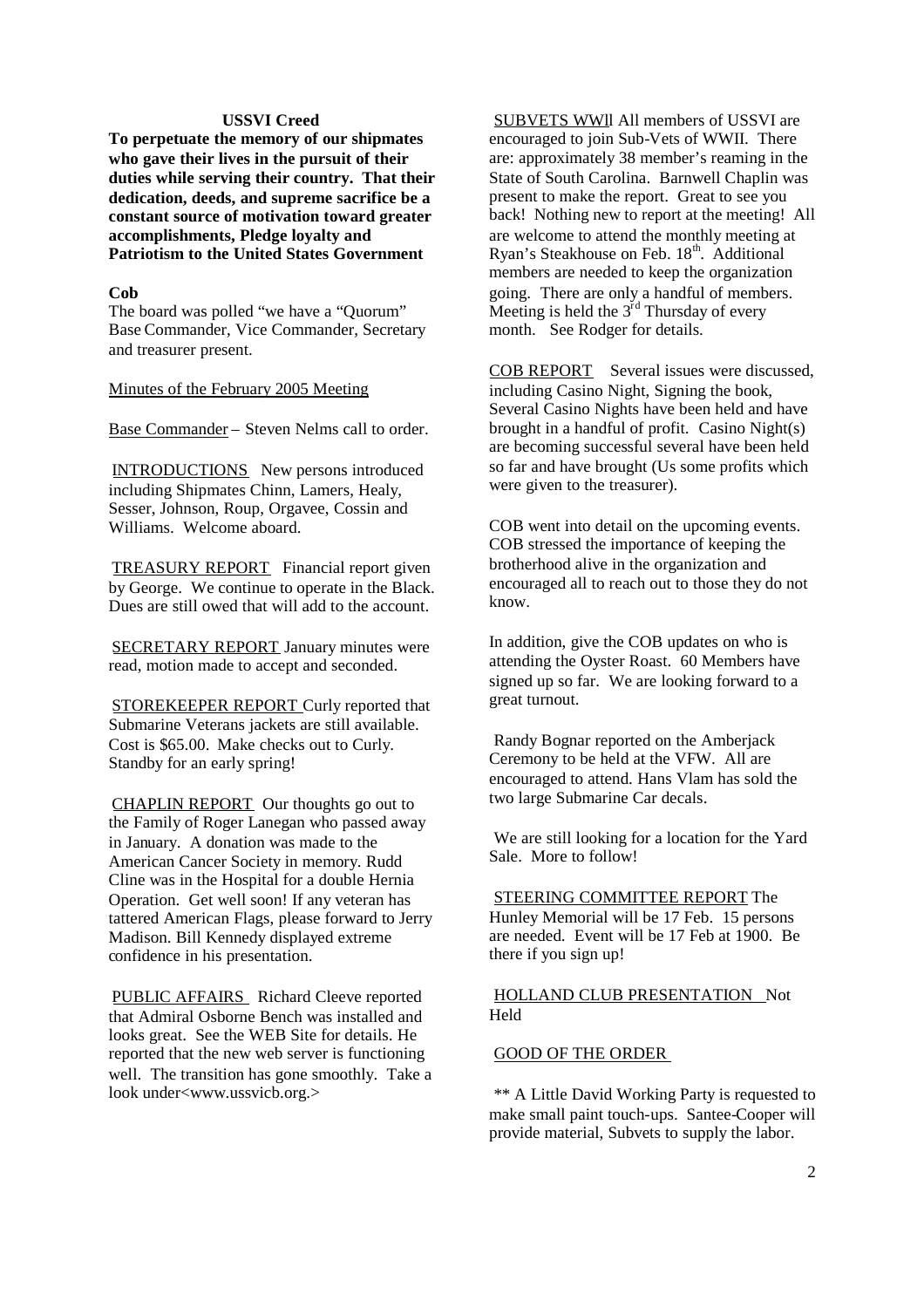### **USSVI Creed**

**To perpetuate the memory of our shipmates who gave their lives in the pursuit of their duties while serving their country. That their dedication, deeds, and supreme sacrifice be a constant source of motivation toward greater accomplishments, Pledge loyalty and Patriotism to the United States Government**

### **Cob**

The board was polled "we have a "Quorum" Base Commander, Vice Commander, Secretary and treasurer present.

Minutes of the February 2005 Meeting

Base Commander – Steven Nelms call to order.

INTRODUCTIONS New persons introduced including Shipmates Chinn, Lamers, Healy, Sesser, Johnson, Roup, Orgavee, Cossin and Williams. Welcome aboard.

TREASURY REPORT Financial report given by George. We continue to operate in the Black. Dues are still owed that will add to the account.

SECRETARY REPORT January minutes were read, motion made to accept and seconded.

STOREKEEPER REPORT Curly reported that Submarine Veterans jackets are still available. Cost is \$65.00. Make checks out to Curly. Standby for an early spring!

CHAPLIN REPORT Our thoughts go out to the Family of Roger Lanegan who passed away in January. A donation was made to the American Cancer Society in memory. Rudd Cline was in the Hospital for a double Hernia Operation. Get well soon! If any veteran has tattered American Flags, please forward to Jerry Madison. Bill Kennedy displayed extreme confidence in his presentation.

PUBLIC AFFAIRS Richard Cleeve reported that Admiral Osborne Bench was installed and looks great. See the WEB Site for details. He reported that the new web server is functioning well. The transition has gone smoothly. Take a look under<www.ussvicb.org.>

SUBVETS WWll All members of USSVI are encouraged to join Sub-Vets of WWII. There are: approximately 38 member's reaming in the State of South Carolina. Barnwell Chaplin was present to make the report. Great to see you back! Nothing new to report at the meeting! All are welcome to attend the monthly meeting at Ryan's Steakhouse on Feb. 18<sup>th</sup>. Additional members are needed to keep the organization going. There are only a handful of members. Meeting is held the  $3<sup>rd</sup>$  Thursday of every month. See Rodger for details.

COB REPORT Several issues were discussed, including Casino Night, Signing the book, Several Casino Nights have been held and have brought in a handful of profit. Casino Night(s) are becoming successful several have been held so far and have brought (Us some profits which were given to the treasurer).

COB went into detail on the upcoming events. COB stressed the importance of keeping the brotherhood alive in the organization and encouraged all to reach out to those they do not know.

In addition, give the COB updates on who is attending the Oyster Roast. 60 Members have signed up so far. We are looking forward to a great turnout.

Randy Bognar reported on the Amberjack Ceremony to be held at the VFW. All are encouraged to attend. Hans Vlam has sold the two large Submarine Car decals.

We are still looking for a location for the Yard Sale. More to follow!

### STEERING COMMITTEE REPORT The

Hunley Memorial will be 17 Feb. 15 persons are needed. Event will be 17 Feb at 1900. Be there if you sign up!

# HOLLAND CLUB PRESENTATION Not Held

### GOOD OF THE ORDER

\*\* A Little David Working Party is requested to make small paint touch-ups. Santee-Cooper will provide material, Subvets to supply the labor.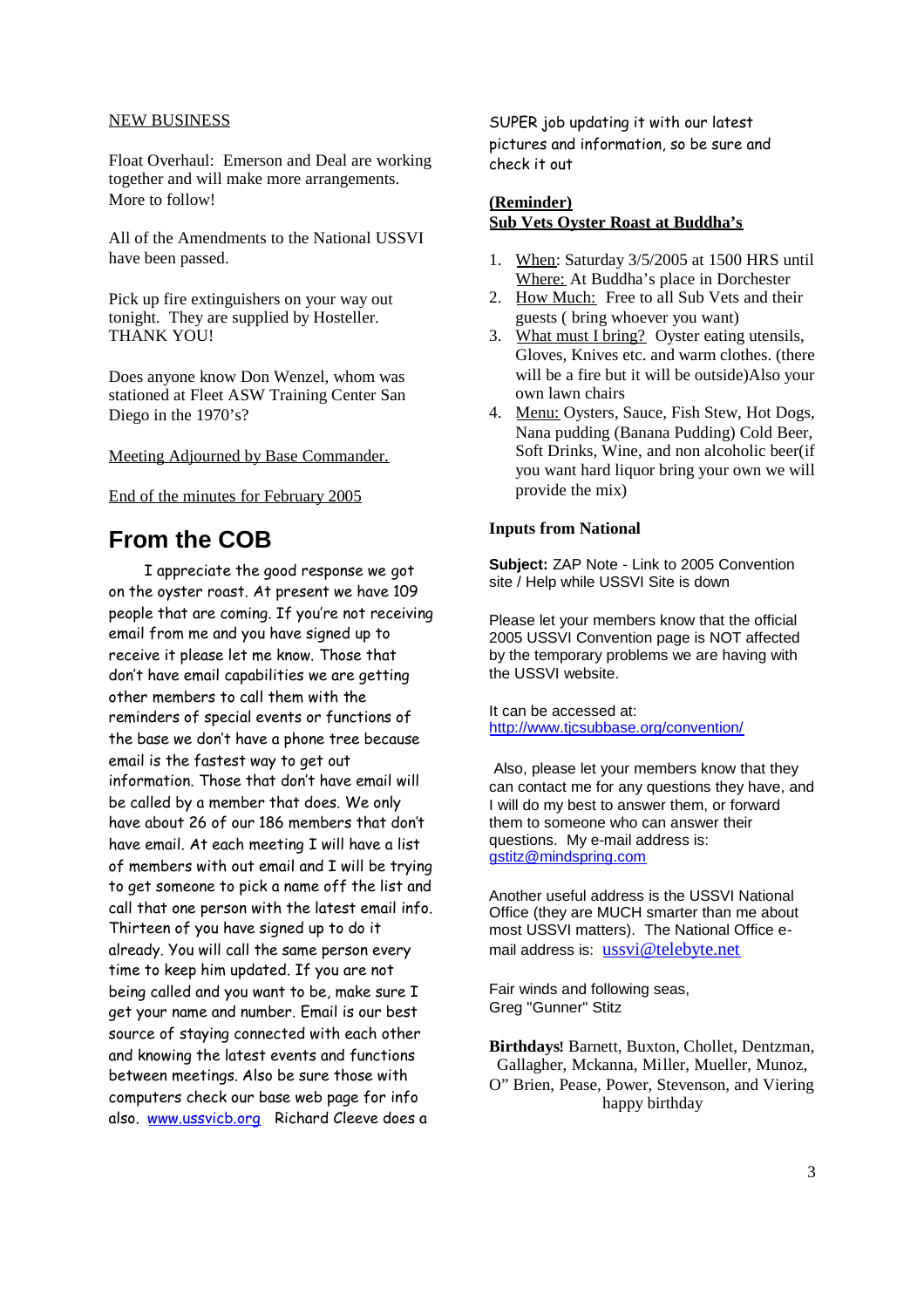# NEW BUSINESS

Float Overhaul: Emerson and Deal are working together and will make more arrangements. More to follow!

All of the Amendments to the National USSVI have been passed.

Pick up fire extinguishers on your way out tonight. They are supplied by Hosteller. THANK YOU!

Does anyone know Don Wenzel, whom was stationed at Fleet ASW Training Center San Diego in the 1970's?

Meeting Adjourned by Base Commander.

End of the minutes for February 2005

# **From the COB**

I appreciate the good response we got on the oyster roast. At present we have 109 people that are coming. If you're not receiving email from me and you have signed up to receive it please let me know. Those that don't have email capabilities we are getting other members to call them with the reminders of special events or functions of the base we don't have a phone tree because email is the fastest way to get out information. Those that don't have email will be called by a member that does. We only have about 26 of our 186 members that don't have email. At each meeting I will have a list of members with out email and I will be trying to get someone to pick a name off the list and call that one person with the latest email info. Thirteen of you have signed up to do it already. You will call the same person every time to keep him updated. If you are not being called and you want to be, make sure I get your name and number. Email is our best source of staying connected with each other and knowing the latest events and functions between meetings. Also be sure those with computers check our base web page for info also. www.ussvicb.org Richard Cleeve does a

SUPER job updating it with our latest pictures and information, so be sure and check it out

### **(Reminder) Sub Vets Oyster Roast at Buddha's**

- 1. When: Saturday 3/5/2005 at 1500 HRS until Where: At Buddha's place in Dorchester
- 2. How Much: Free to all Sub Vets and their guests ( bring whoever you want)
- 3. What must I bring? Oyster eating utensils, Gloves, Knives etc. and warm clothes. (there will be a fire but it will be outside)Also your own lawn chairs
- 4. Menu: Oysters, Sauce, Fish Stew, Hot Dogs, Nana pudding (Banana Pudding) Cold Beer, Soft Drinks, Wine, and non alcoholic beer(if you want hard liquor bring your own we will provide the mix)

### **Inputs from National**

**Subject:** ZAP Note - Link to 2005 Convention site / Help while USSVI Site is down

Please let your members know that the official 2005 USSVI Convention page is NOT affected by the temporary problems we are having with the USSVI website.

It can be accessed at: http://www.tjcsubbase.org/convention/

Also, please let your members know that they can contact me for any questions they have, and I will do my best to answer them, or forward them to someone who can answer their questions. My e-mail address is: gstitz@mindspring.com

Another useful address is the USSVI National Office (they are MUCH smarter than me about most USSVI matters). The National Office email address is: ussvi@telebvte.net

Fair winds and following seas, Greg "Gunner" Stitz

**Birthdays!** Barnett, Buxton, Chollet, Dentzman, Gallagher, Mckanna, Miller, Mueller, Munoz, O" Brien, Pease, Power, Stevenson, and Viering happy birthday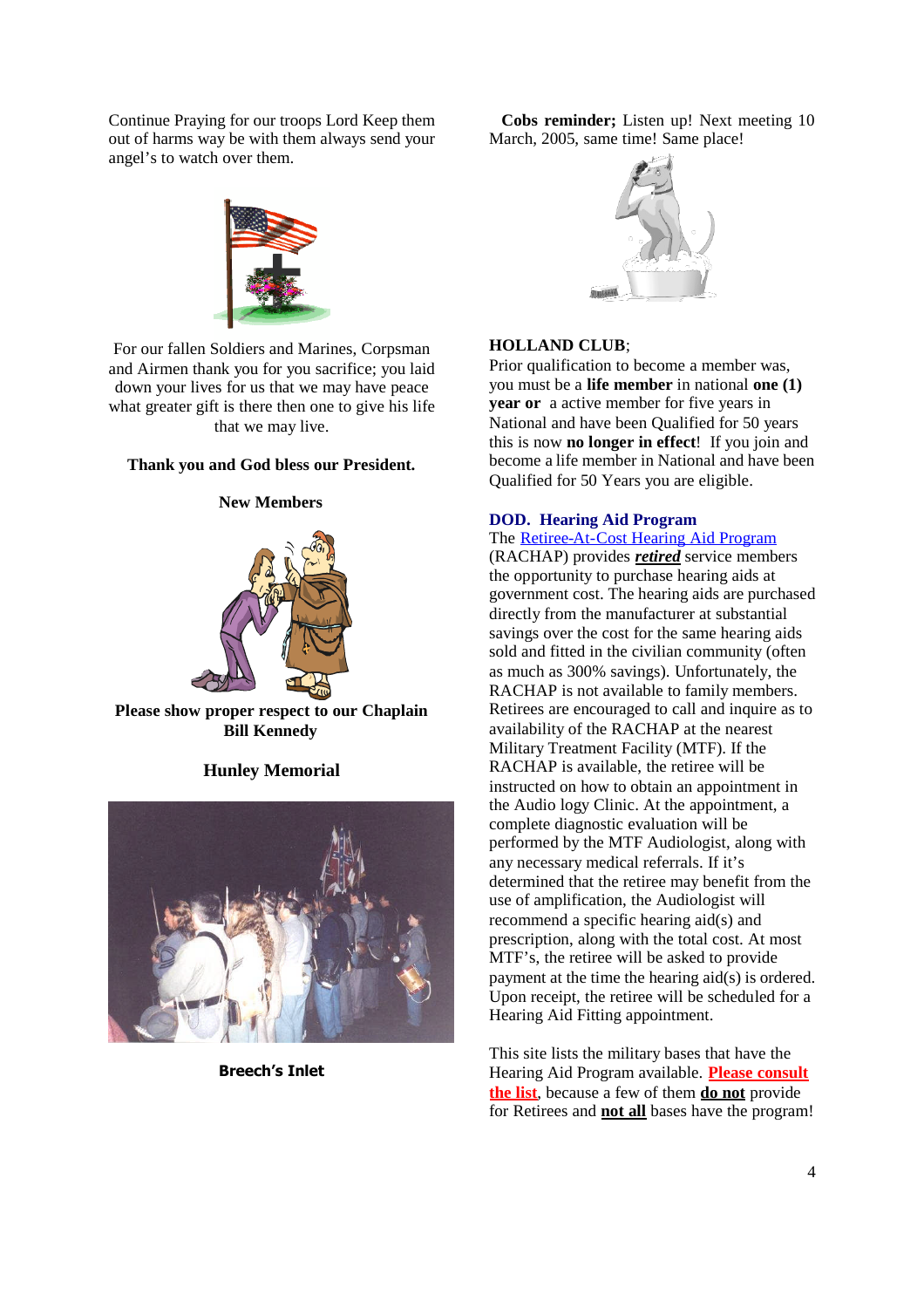Continue Praying for our troops Lord Keep them out of harms way be with them always send your angel's to watch over them.



For our fallen Soldiers and Marines, Corpsman and Airmen thank you for you sacrifice; you laid down your lives for us that we may have peace what greater gift is there then one to give his life that we may live.

# **Thank you and God bless our President.**

# **New Members**



**Please show proper respect to our Chaplain Bill Kennedy**

# **Hunley Memorial**



**Breech's Inlet**

**Cobs reminder;** Listen up! Next meeting 10 March, 2005, same time! Same place!



# **HOLLAND CLUB**;

Prior qualification to become a member was, you must be a **life member** in national **one (1) year or** a active member for five years in National and have been Qualified for 50 years this is now **no longer in effect**! If you join and become a life member in National and have been Qualified for 50 Years you are eligible.

# **DOD. Hearing Aid Program**

The Retiree-At-Cost Hearing Aid Program (RACHAP) provides *retired* service members the opportunity to purchase hearing aids at government cost. The hearing aids are purchased directly from the manufacturer at substantial savings over the cost for the same hearing aids sold and fitted in the civilian community (often as much as 300% savings). Unfortunately, the RACHAP is not available to family members. Retirees are encouraged to call and inquire as to availability of the RACHAP at the nearest Military Treatment Facility (MTF). If the RACHAP is available, the retiree will be instructed on how to obtain an appointment in the Audio logy Clinic. At the appointment, a complete diagnostic evaluation will be performed by the MTF Audiologist, along with any necessary medical referrals. If it's determined that the retiree may benefit from the use of amplification, the Audiologist will recommend a specific hearing aid(s) and prescription, along with the total cost. At most MTF's, the retiree will be asked to provide payment at the time the hearing aid(s) is ordered. Upon receipt, the retiree will be scheduled for a Hearing Aid Fitting appointment.

This site lists the military bases that have the Hearing Aid Program available. **Please consult the list**, because a few of them **do not** provide for Retirees and **not all** bases have the program!